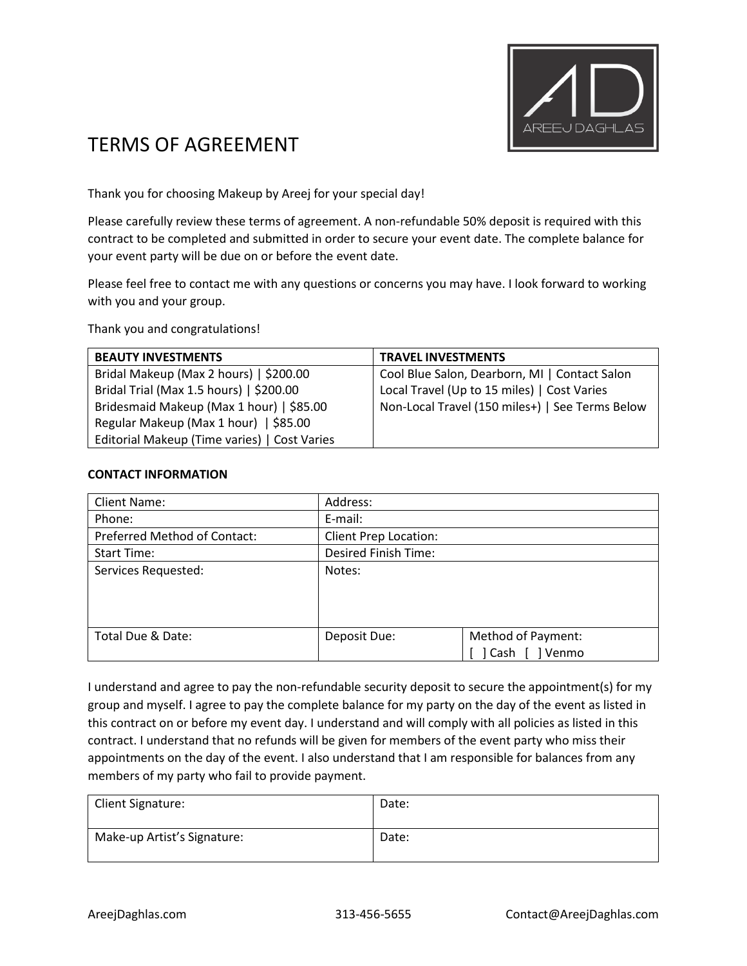

# TERMS OF AGREEMENT

Thank you for choosing Makeup by Areej for your special day!

Please carefully review these terms of agreement. A non-refundable 50% deposit is required with this contract to be completed and submitted in order to secure your event date. The complete balance for your event party will be due on or before the event date.

Please feel free to contact me with any questions or concerns you may have. I look forward to working with you and your group.

Thank you and congratulations!

| <b>BEAUTY INVESTMENTS</b>                    | <b>TRAVEL INVESTMENTS</b>                       |
|----------------------------------------------|-------------------------------------------------|
| Bridal Makeup (Max 2 hours)   \$200.00       | Cool Blue Salon, Dearborn, MI   Contact Salon   |
| Bridal Trial (Max 1.5 hours)   \$200.00      | Local Travel (Up to 15 miles)   Cost Varies     |
| Bridesmaid Makeup (Max 1 hour)   \$85.00     | Non-Local Travel (150 miles+)   See Terms Below |
| Regular Makeup (Max 1 hour)   \$85.00        |                                                 |
| Editorial Makeup (Time varies)   Cost Varies |                                                 |

#### **CONTACT INFORMATION**

| <b>Client Name:</b>          | Address:                     |                                       |
|------------------------------|------------------------------|---------------------------------------|
| Phone:                       | E-mail:                      |                                       |
| Preferred Method of Contact: | <b>Client Prep Location:</b> |                                       |
| <b>Start Time:</b>           | <b>Desired Finish Time:</b>  |                                       |
| Services Requested:          | Notes:                       |                                       |
| Total Due & Date:            | Deposit Due:                 | Method of Payment:<br>Venmo<br>] Cash |

I understand and agree to pay the non-refundable security deposit to secure the appointment(s) for my group and myself. I agree to pay the complete balance for my party on the day of the event as listed in this contract on or before my event day. I understand and will comply with all policies as listed in this contract. I understand that no refunds will be given for members of the event party who miss their appointments on the day of the event. I also understand that I am responsible for balances from any members of my party who fail to provide payment.

| Client Signature:           | Date: |
|-----------------------------|-------|
| Make-up Artist's Signature: | Date: |